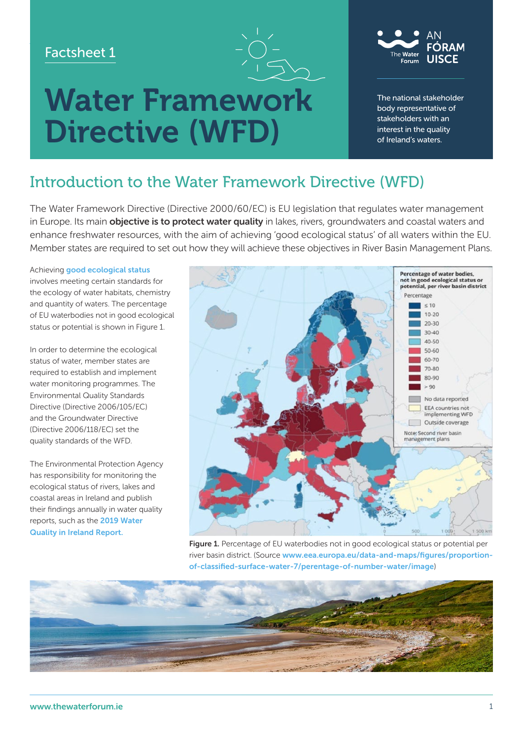### Factsheet 1





The national stakeholder body representative of stakeholders with an interest in the quality of Ireland's waters.

# Introduction to the Water Framework Directive (WFD)

Directive (WFD)

The Water Framework Directive (Directive 2000/60/EC) is EU legislation that regulates water management in Europe. Its main **objective is to protect water quality** in lakes, rivers, groundwaters and coastal waters and enhance freshwater resources, with the aim of achieving 'good ecological status' of all waters within the EU. Member states are required to set out how they will achieve these objectives in River Basin Management Plans.

Achieving [good ecological status](https://www.catchments.ie/guide-water-framework-directive/) 

involves meeting certain standards for the ecology of water habitats, chemistry and quantity of waters. The percentage of EU waterbodies not in good ecological status or potential is shown in Figure 1.

In order to determine the ecological status of water, member states are required to establish and implement water monitoring programmes. The Environmental Quality Standards Directive (Directive 2006/105/EC) and the Groundwater Directive (Directive 2006/118/EC) set the quality standards of the WFD.

The Environmental Protection Agency has responsibility for monitoring the ecological status of rivers, lakes and coastal areas in Ireland and publish their findings annually in water quality reports, such as the [2019 Water](https://www.epa.ie/publications/monitoring--assessment/freshwater--marine/water-quality-in-2019.php)  [Quality in Ireland Report.](https://www.epa.ie/publications/monitoring--assessment/freshwater--marine/water-quality-in-2019.php)



Figure 1. Percentage of EU waterbodies not in good ecological status or potential per river basin district. (Source [www.eea.europa.eu/data-and-maps/figures/proportion](https://www.eea.europa.eu/data-and-maps/figures/proportion-of-classified-surface-water-7/perentage-of-number-water/image)[of-classified-surface-water-7/perentage-of-number-water/image](https://www.eea.europa.eu/data-and-maps/figures/proportion-of-classified-surface-water-7/perentage-of-number-water/image))

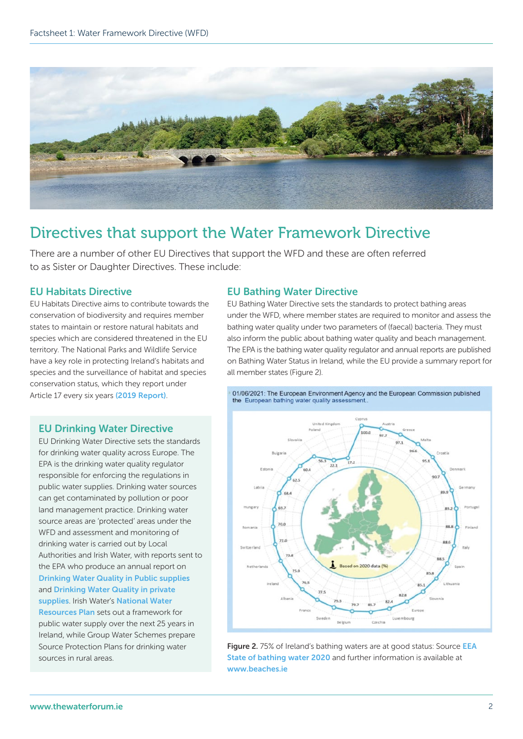

## Directives that support the Water Framework Directive

There are a number of other EU Directives that support the WFD and these are often referred to as Sister or Daughter Directives. These include:

#### EU Habitats Directive

EU Habitats Directive aims to contribute towards the conservation of biodiversity and requires member states to maintain or restore natural habitats and species which are considered threatened in the EU territory. The National Parks and Wildlife Service have a key role in protecting Ireland's habitats and species and the surveillance of habitat and species conservation status, which they report under Article 17 every six years [\(2019 Report\)](https://www.npws.ie/sites/default/files/publications/pdf/NPWS_2019_Vol1_Summary_Article17.pdf).

#### EU Bathing Water Directive

EU Bathing Water Directive sets the standards to protect bathing areas under the WFD, where member states are required to monitor and assess the bathing water quality under two parameters of (faecal) bacteria. They must also inform the public about bathing water quality and beach management. The EPA is the bathing water quality regulator and annual reports are published on Bathing Water Status in Ireland, while the EU provide a summary report for all member states (Figure 2).



Figure 2. 75% of Ireland's bathing waters are at good status: Source EEA [State of bathing water 2020](http://www.eea.europa.eu/themes/water/europes-seas-and-coasts/assessments/state-of-bathing-water/state-of-bathing-water-4) and further information is available at [www.beaches.ie](http://www.beaches.ie)

#### EU Drinking Water Directive

EU Drinking Water Directive sets the standards for drinking water quality across Europe. The EPA is the drinking water quality regulator responsible for enforcing the regulations in public water supplies. Drinking water sources can get contaminated by pollution or poor land management practice. Drinking water source areas are 'protected' areas under the WFD and assessment and monitoring of drinking water is carried out by Local Authorities and Irish Water, with reports sent to the EPA who produce an annual report on [Drinking Water Quality in Public supplies](https://www.epa.ie/news-releases/news-releases-2020/while-the-quality-of-drinking-water-in-public-supplies-remains-high-supplies-to-over-1-million-people-are-vulnerable-to-failure-says-epa-director-general.php) and [Drinking Water Quality in private](https://search.epa.ie/s/search.html?collection=epa-2021-search&query=water+quality+private+supplies&f.Tabs%7Cepa-2021-publications=Publications) 

[supplies](https://search.epa.ie/s/search.html?collection=epa-2021-search&query=water+quality+private+supplies&f.Tabs%7Cepa-2021-publications=Publications). Irish Water's National Water [Resources Plan](https://www.water.ie/projects/strategic-plans/national-water-resources/) sets out a framework for

public water supply over the next 25 years in Ireland, while Group Water Schemes prepare Source Protection Plans for drinking water sources in rural areas.